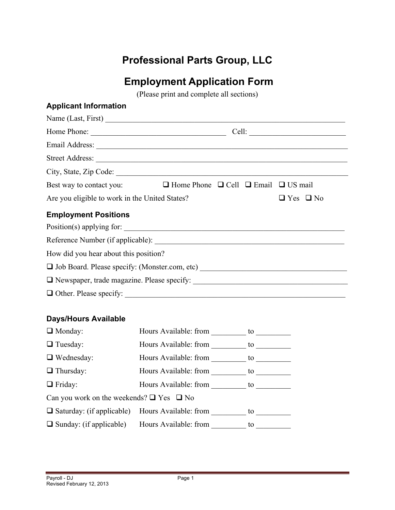# **Professional Parts Group, LLC**

# **Employment Application Form**

(Please print and complete all sections)

| <b>Applicant Information</b>                   |                                                                                                                      |                      |  |  |
|------------------------------------------------|----------------------------------------------------------------------------------------------------------------------|----------------------|--|--|
|                                                |                                                                                                                      |                      |  |  |
| Home Phone:                                    |                                                                                                                      |                      |  |  |
|                                                |                                                                                                                      |                      |  |  |
|                                                |                                                                                                                      |                      |  |  |
|                                                |                                                                                                                      |                      |  |  |
| Best way to contact you:                       | $\Box$ Home Phone $\Box$ Cell $\Box$ Email $\Box$ US mail                                                            |                      |  |  |
| Are you eligible to work in the United States? |                                                                                                                      | $\Box$ Yes $\Box$ No |  |  |
| <b>Employment Positions</b>                    |                                                                                                                      |                      |  |  |
| Position(s) applying for:                      |                                                                                                                      |                      |  |  |
|                                                |                                                                                                                      |                      |  |  |
| How did you hear about this position?          |                                                                                                                      |                      |  |  |
|                                                |                                                                                                                      |                      |  |  |
|                                                |                                                                                                                      |                      |  |  |
| $\Box$ Other. Please specify:                  | <u> 1989 - Johann John Stone, mars eta bainar eta mondo eta mondo eta mondo eta mondo eta mondo eta mondo eta mo</u> |                      |  |  |

## **Days/Hours Available**

| $\Box$ Monday:                                         | Hours Available: from | to |  |  |
|--------------------------------------------------------|-----------------------|----|--|--|
| $\Box$ Tuesday:                                        | Hours Available: from | to |  |  |
| $\Box$ Wednesday:                                      | Hours Available: from | to |  |  |
| $\Box$ Thursday:                                       | Hours Available: from | to |  |  |
| $\Box$ Friday:                                         | Hours Available: from | to |  |  |
| Can you work on the weekends? $\Box$ Yes $\Box$ No     |                       |    |  |  |
| $\Box$ Saturday: (if applicable) Hours Available: from |                       | to |  |  |
| $\Box$ Sunday: (if applicable)                         | Hours Available: from | to |  |  |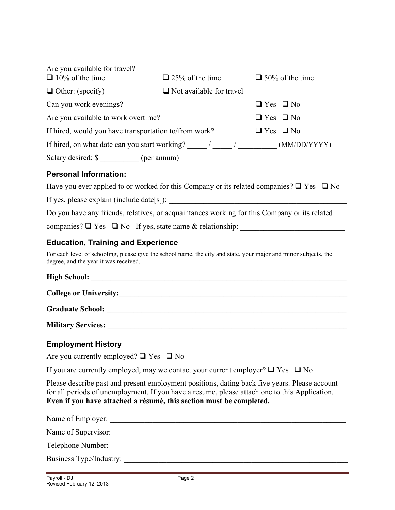| Are you available for travel?<br>$\Box$ 10% of the time | $\Box$ 25% of the time          | $\Box$ 50% of the time |
|---------------------------------------------------------|---------------------------------|------------------------|
| $\Box$ Other: (specify)                                 | $\Box$ Not available for travel |                        |
| Can you work evenings?                                  |                                 | $\Box$ Yes $\Box$ No   |
| Are you available to work overtime?                     |                                 | $\Box$ Yes $\Box$ No   |
| If hired, would you have transportation to/from work?   |                                 | $\Box$ Yes $\Box$ No   |
| If hired, on what date can you start working? / / /     |                                 | (MM/DD/YYYY)           |
| Salary desired: \$<br>(per annum)                       |                                 |                        |

### **Personal Information:**

|  |  |  | Have you ever applied to or worked for this Company or its related companies? $\Box$ Yes $\Box$ No |  |
|--|--|--|----------------------------------------------------------------------------------------------------|--|
|  |  |  |                                                                                                    |  |

If yes, please explain (include date[s]):

Do you have any friends, relatives, or acquaintances working for this Company or its related

companies?  $\Box$  Yes  $\Box$  No If yes, state name & relationship:

#### **Education, Training and Experience**

For each level of schooling, please give the school name, the city and state, your major and minor subjects, the degree, and the year it was received.

#### **High School:**  $\blacksquare$

College or University:

#### **Graduate School: and a substitute of**  $\mathbf{S}$  **chool: a** substitute of  $\mathbf{S}$  chool:

**Military Services:** \_\_\_\_\_\_\_\_\_\_\_\_\_\_\_\_\_\_\_\_\_\_\_\_\_\_\_\_\_\_\_\_\_\_\_\_\_\_\_\_\_\_\_\_\_\_\_\_\_\_\_\_\_\_\_\_\_\_\_\_\_\_

#### **Employment History**

Are you currently employed?  $\Box$  Yes  $\Box$  No

If you are currently employed, may we contact your current employer?  $\Box$  Yes  $\Box$  No

Please describe past and present employment positions, dating back five years. Please account for all periods of unemployment. If you have a resume, please attach one to this Application. **Even if you have attached a résumé, this section must be completed.**

Name of Employer: Name of Supervisor: Telephone Number: Business Type/Industry: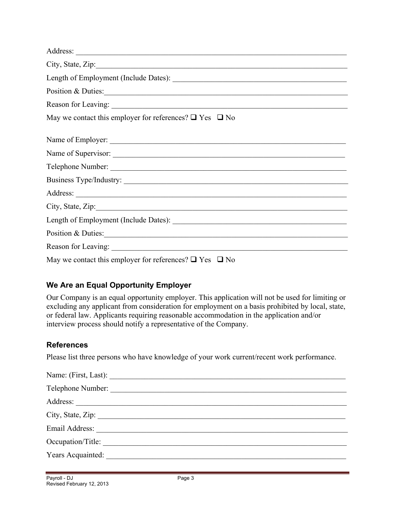| Position & Duties:                                                |
|-------------------------------------------------------------------|
|                                                                   |
| May we contact this employer for references? $\Box$ Yes $\Box$ No |
|                                                                   |
| Name of Supervisor:                                               |
|                                                                   |
|                                                                   |
|                                                                   |
| City, State, Zip:                                                 |
|                                                                   |
| Position & Duties:                                                |
|                                                                   |
| May we contact this employer for references? $\Box$ Yes $\Box$ No |

## **We Are an Equal Opportunity Employer**

Our Company is an equal opportunity employer. This application will not be used for limiting or excluding any applicant from consideration for employment on a basis prohibited by local, state, or federal law. Applicants requiring reasonable accommodation in the application and/or interview process should notify a representative of the Company.

### **References**

Please list three persons who have knowledge of your work current/recent work performance.

| Email Address: and a manufactured a manufactured and a manufactured and a manufactured and a manufactured and a manufactured and a manufactured and a manufactured and a manufactured and a manufactured and a manufactured an |
|--------------------------------------------------------------------------------------------------------------------------------------------------------------------------------------------------------------------------------|
| Occupation/Title:                                                                                                                                                                                                              |
|                                                                                                                                                                                                                                |
|                                                                                                                                                                                                                                |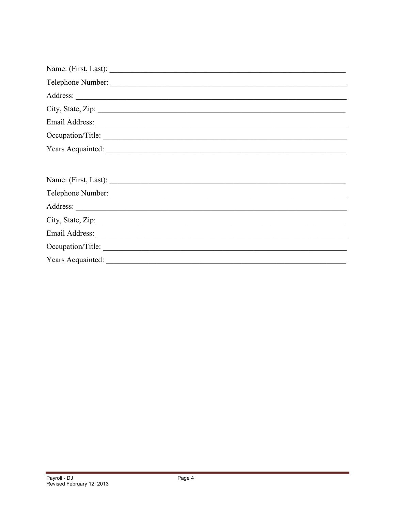| City, State, Zip: 2008. Experience of the State of Table 3.                                                                                                                                                                    |
|--------------------------------------------------------------------------------------------------------------------------------------------------------------------------------------------------------------------------------|
|                                                                                                                                                                                                                                |
| Occupation/Title:                                                                                                                                                                                                              |
|                                                                                                                                                                                                                                |
|                                                                                                                                                                                                                                |
|                                                                                                                                                                                                                                |
|                                                                                                                                                                                                                                |
|                                                                                                                                                                                                                                |
| City, State, Zip: 2008. Experience of the State of Table 3.                                                                                                                                                                    |
|                                                                                                                                                                                                                                |
| Occupation/Title:                                                                                                                                                                                                              |
| Years Acquainted: New York Contract Contract Contract Contract Contract Contract Contract Contract Contract Contract Contract Contract Contract Contract Contract Contract Contract Contract Contract Contract Contract Contra |